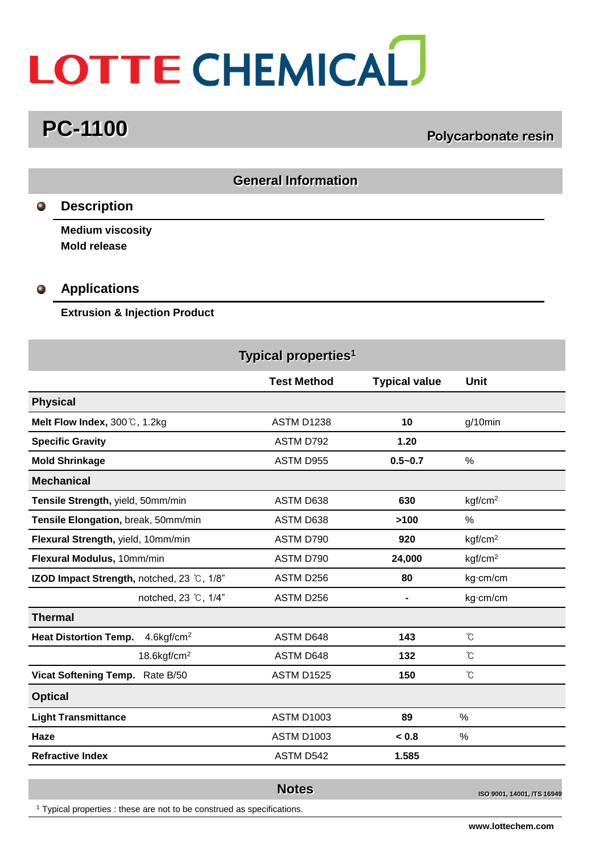# LOTTE CHEMICAL

## **PC-1100 Polycarbonate resin**

| <b>General Information</b>          |                                                                                                                   |                    |                      |                     |  |  |
|-------------------------------------|-------------------------------------------------------------------------------------------------------------------|--------------------|----------------------|---------------------|--|--|
| Ο,                                  | <b>Description</b>                                                                                                |                    |                      |                     |  |  |
| $\bullet$                           | <b>Medium viscosity</b><br><b>Mold release</b><br><b>Applications</b><br><b>Extrusion &amp; Injection Product</b> |                    |                      |                     |  |  |
| Typical properties <sup>1</sup>     |                                                                                                                   |                    |                      |                     |  |  |
|                                     |                                                                                                                   | <b>Test Method</b> | <b>Typical value</b> | Unit                |  |  |
| <b>Physical</b>                     |                                                                                                                   |                    |                      |                     |  |  |
|                                     | Melt Flow Index, 300℃, 1.2kg                                                                                      | <b>ASTM D1238</b>  | 10                   | g/10min             |  |  |
|                                     | <b>Specific Gravity</b>                                                                                           | ASTM D792          | 1.20                 |                     |  |  |
|                                     | <b>Mold Shrinkage</b>                                                                                             | ASTM D955          | $0.5 - 0.7$          | $\%$                |  |  |
| <b>Mechanical</b>                   |                                                                                                                   |                    |                      |                     |  |  |
| Tensile Strength, yield, 50mm/min   |                                                                                                                   | ASTM D638          | 630                  | kgf/cm <sup>2</sup> |  |  |
| Tensile Elongation, break, 50mm/min |                                                                                                                   | ASTM D638          | >100                 | $\%$                |  |  |
| Flexural Strength, yield, 10mm/min  |                                                                                                                   | ASTM D790          | 920                  | kgf/cm <sup>2</sup> |  |  |
| Flexural Modulus, 10mm/min          |                                                                                                                   | ASTM D790          | 24,000               | kgf/cm <sup>2</sup> |  |  |
|                                     | IZOD Impact Strength, notched, 23 °C, 1/8"                                                                        | ASTM D256          | 80                   | kg·cm/cm            |  |  |
|                                     | notched, 23 ℃, 1/4"                                                                                               | ASTM D256          | $\blacksquare$       | kg·cm/cm            |  |  |
| <b>Thermal</b>                      |                                                                                                                   |                    |                      |                     |  |  |
|                                     | <b>Heat Distortion Temp.</b><br>$4.6$ kgf/cm <sup>2</sup>                                                         | ASTM D648          | 143                  | °C                  |  |  |
|                                     | $18.6$ kgf/cm $^2$                                                                                                | ASTM D648          | 132                  | $\rm ^{\circ}\!C$   |  |  |
|                                     | Vicat Softening Temp. Rate B/50                                                                                   | <b>ASTM D1525</b>  | 150                  | $^\circ\!{\rm C}$   |  |  |
| <b>Optical</b>                      |                                                                                                                   |                    |                      |                     |  |  |
|                                     | <b>Light Transmittance</b>                                                                                        | <b>ASTM D1003</b>  | 89                   | $\%$                |  |  |
| Haze                                |                                                                                                                   | ASTM D1003         | < 0.8                | $\%$                |  |  |
|                                     | <b>Refractive Index</b>                                                                                           | ASTM D542          | 1.585                |                     |  |  |
|                                     |                                                                                                                   | <b>Notoc</b>       |                      |                     |  |  |

<sup>1</sup> Typical properties : these are not to be construed as specifications.

**ISO 9001, 14001, /TS 16949**<br>**ISO 9001, 14001, /TS 16949** 

**www.lottechem.com**